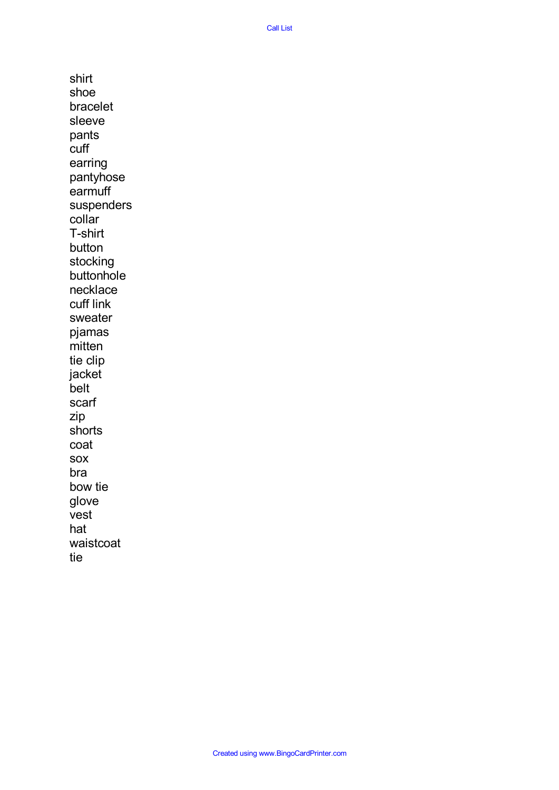Call List

shirt shoe bracelet sleeve pants cuff earring pantyhose earmuff suspenders collar T-shirt button stocking buttonhole necklace cuff link sweater pjamas mitten tie clip jacket belt scarf zip shorts coat sox bra bow tie glove vest hat waistcoat tie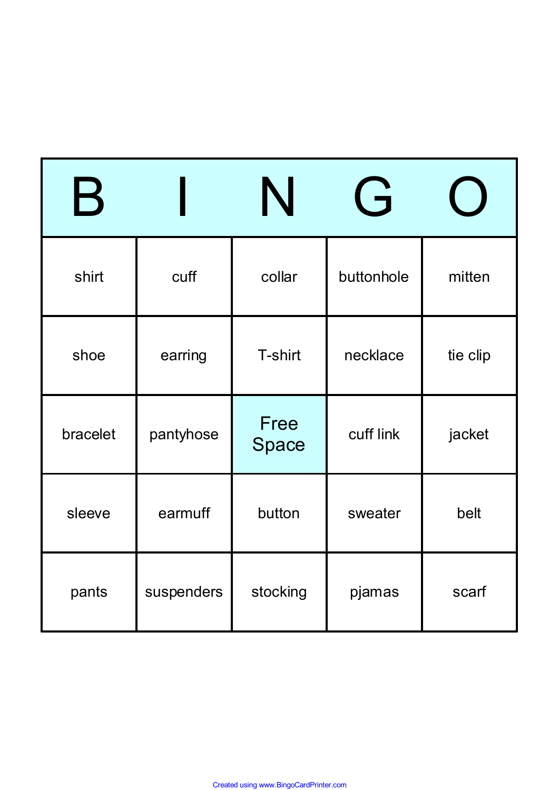| $\bm{\mathsf{B}}$ |            |               | G          |          |
|-------------------|------------|---------------|------------|----------|
| shirt             | cuff       | collar        | buttonhole | mitten   |
| shoe              | earring    | T-shirt       | necklace   | tie clip |
| bracelet          | pantyhose  | Free<br>Space | cuff link  | jacket   |
| sleeve            | earmuff    | button        | sweater    | belt     |
| pants             | suspenders | stocking      | pjamas     | scarf    |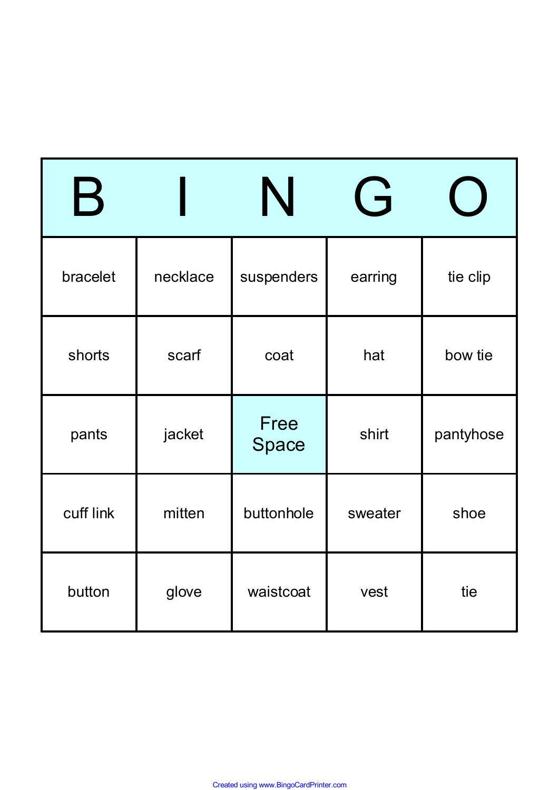| $\bm{\mathsf{B}}$ |          |               | $\overrightarrow{F}$ |           |
|-------------------|----------|---------------|----------------------|-----------|
| bracelet          | necklace | suspenders    | earring              | tie clip  |
| shorts            | scarf    | coat          | hat                  | bow tie   |
| pants             | jacket   | Free<br>Space | shirt                | pantyhose |
| cuff link         | mitten   | buttonhole    | sweater              | shoe      |
| button            | glove    | waistcoat     | vest                 | tie       |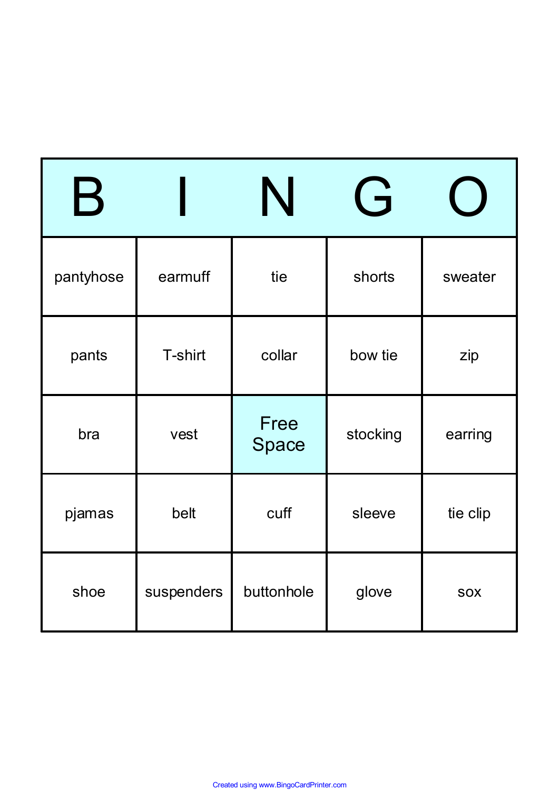| $\mathbf B$ |            |               | $\overrightarrow{F}$ |            |
|-------------|------------|---------------|----------------------|------------|
| pantyhose   | earmuff    | tie           | shorts               | sweater    |
| pants       | T-shirt    | collar        | bow tie              | zip        |
| bra         | vest       | Free<br>Space | stocking             | earring    |
| pjamas      | belt       | cuff          | sleeve               | tie clip   |
| shoe        | suspenders | buttonhole    | glove                | <b>SOX</b> |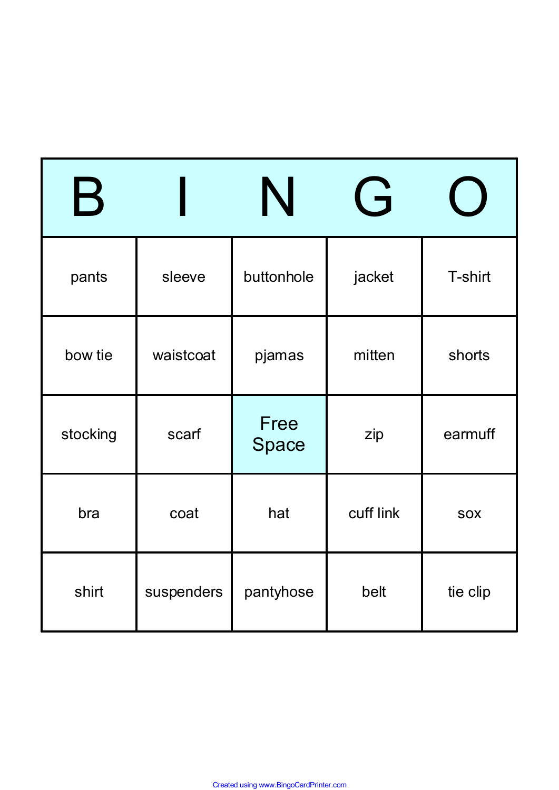| $\bm{\mathsf{B}}$ |            |               | $\overrightarrow{c}$ |            |
|-------------------|------------|---------------|----------------------|------------|
| pants             | sleeve     | buttonhole    | jacket               | T-shirt    |
| bow tie           | waistcoat  | pjamas        | mitten               | shorts     |
| stocking          | scarf      | Free<br>Space | zip                  | earmuff    |
| bra               | coat       | hat           | cuff link            | <b>SOX</b> |
| shirt             | suspenders | pantyhose     | belt                 | tie clip   |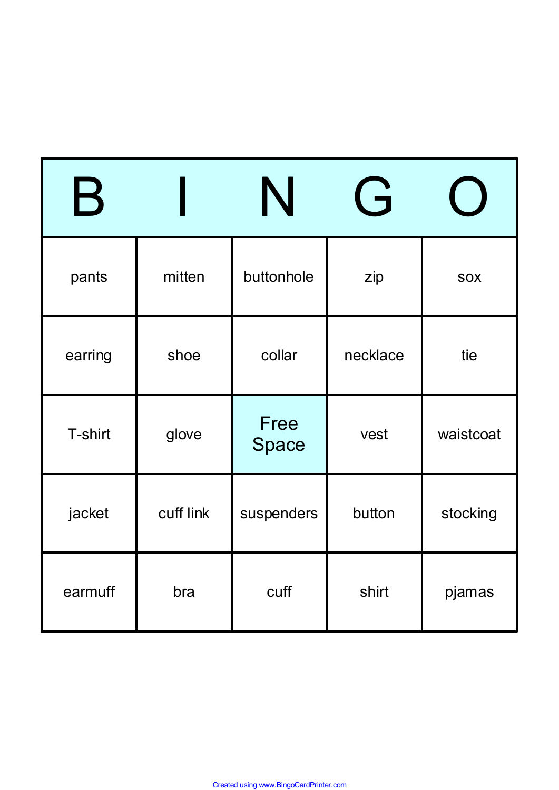| $\bm{\mathsf{B}}$ |           |               | $\overrightarrow{F}$ |            |
|-------------------|-----------|---------------|----------------------|------------|
| pants             | mitten    | buttonhole    | zip                  | <b>SOX</b> |
| earring           | shoe      | collar        | necklace             | tie        |
| T-shirt           | glove     | Free<br>Space | vest                 | waistcoat  |
| jacket            | cuff link | suspenders    | button               | stocking   |
| earmuff           | bra       | cuff          | shirt                | pjamas     |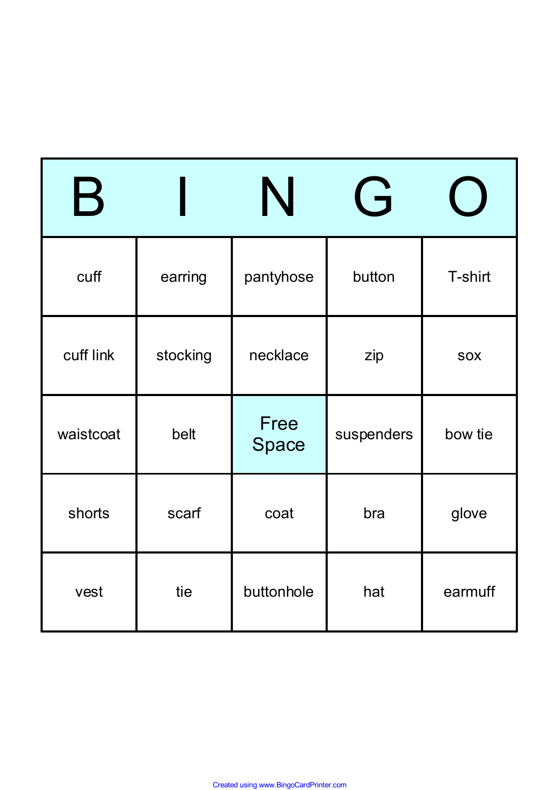| $\bm{\mathsf{B}}$ |          |               | $\overrightarrow{G}$ |            |
|-------------------|----------|---------------|----------------------|------------|
| cuff              | earring  | pantyhose     | button               | T-shirt    |
| cuff link         | stocking | necklace      | zip                  | <b>SOX</b> |
| waistcoat         | belt     | Free<br>Space | suspenders           | bow tie    |
| shorts            | scarf    | coat          | bra                  | glove      |
| vest              | tie      | buttonhole    | hat                  | earmuff    |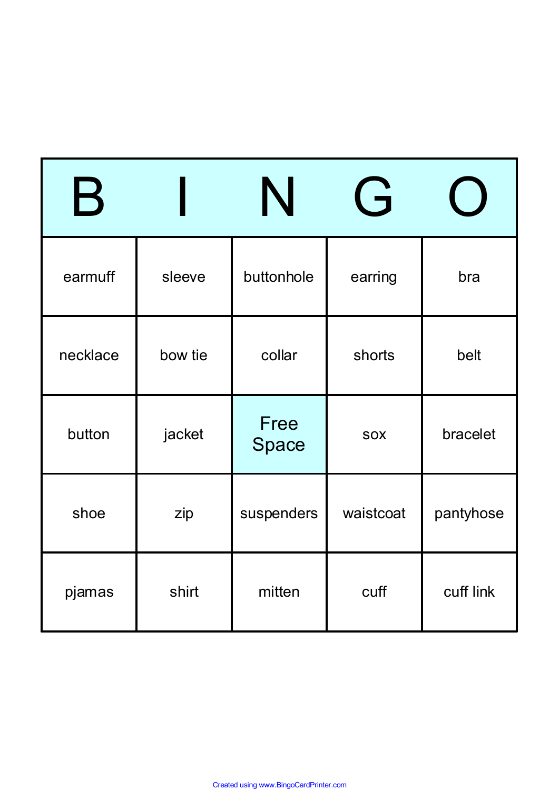| $\mathbf B$ |         |               | $\overrightarrow{F}$ |           |
|-------------|---------|---------------|----------------------|-----------|
| earmuff     | sleeve  | buttonhole    | earring              | bra       |
| necklace    | bow tie | collar        | shorts               | belt      |
| button      | jacket  | Free<br>Space | <b>SOX</b>           | bracelet  |
| shoe        | zip     | suspenders    | waistcoat            | pantyhose |
| pjamas      | shirt   | mitten        | cuff                 | cuff link |